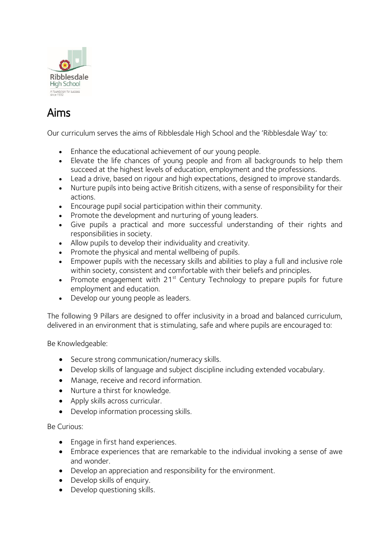

# Aims

Our curriculum serves the aims of Ribblesdale High School and the 'Ribblesdale Way' to:

- Enhance the educational achievement of our young people.
- Elevate the life chances of young people and from all backgrounds to help them succeed at the highest levels of education, employment and the professions.
- Lead a drive, based on rigour and high expectations, designed to improve standards.
- Nurture pupils into being active British citizens, with a sense of responsibility for their actions.
- Encourage pupil social participation within their community.
- Promote the development and nurturing of young leaders.
- Give pupils a practical and more successful understanding of their rights and responsibilities in society.
- Allow pupils to develop their individuality and creativity.
- Promote the physical and mental wellbeing of pupils.
- Empower pupils with the necessary skills and abilities to play a full and inclusive role within society, consistent and comfortable with their beliefs and principles.
- Promote engagement with  $21^{st}$  Century Technology to prepare pupils for future employment and education.
- Develop our young people as leaders.

The following 9 Pillars are designed to offer inclusivity in a broad and balanced curriculum, delivered in an environment that is stimulating, safe and where pupils are encouraged to:

Be Knowledgeable:

- Secure strong communication/numeracy skills.
- Develop skills of language and subject discipline including extended vocabulary.
- Manage, receive and record information.
- Nurture a thirst for knowledge.
- Apply skills across curricular.
- Develop information processing skills.

Be Curious:

- Engage in first hand experiences.
- Embrace experiences that are remarkable to the individual invoking a sense of awe and wonder.
- Develop an appreciation and responsibility for the environment.
- Develop skills of enquiry.
- Develop questioning skills.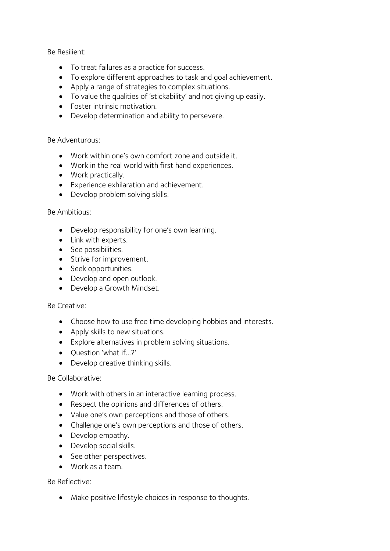Be Resilient:

- To treat failures as a practice for success.
- To explore different approaches to task and goal achievement.
- Apply a range of strategies to complex situations.
- To value the qualities of 'stickability' and not giving up easily.
- Foster intrinsic motivation.
- Develop determination and ability to persevere.

Be Adventurous:

- Work within one's own comfort zone and outside it.
- Work in the real world with first hand experiences.
- Work practically.
- Experience exhilaration and achievement.
- Develop problem solving skills.

#### Be Ambitious:

- Develop responsibility for one's own learning.
- Link with experts.
- See possibilities.
- Strive for improvement.
- Seek opportunities.
- Develop and open outlook.
- Develop a Growth Mindset.

### Be Creative:

- Choose how to use free time developing hobbies and interests.
- Apply skills to new situations.
- Explore alternatives in problem solving situations.
- Ouestion 'what if...?'
- Develop creative thinking skills.

### Be Collaborative:

- Work with others in an interactive learning process.
- Respect the opinions and differences of others.
- Value one's own perceptions and those of others.
- Challenge one's own perceptions and those of others.
- Develop empathy.
- Develop social skills.
- See other perspectives.
- Work as a team.

### Be Reflective:

• Make positive lifestyle choices in response to thoughts.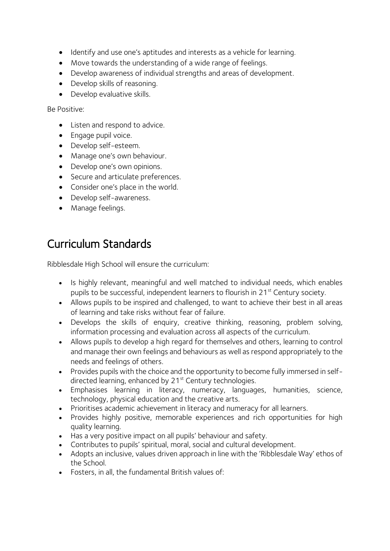- Identify and use one's aptitudes and interests as a vehicle for learning.
- Move towards the understanding of a wide range of feelings.
- Develop awareness of individual strengths and areas of development.
- Develop skills of reasoning.
- Develop evaluative skills.

Be Positive:

- Listen and respond to advice.
- Engage pupil voice.
- Develop self-esteem.
- Manage one's own behaviour.
- Develop one's own opinions.
- Secure and articulate preferences.
- Consider one's place in the world.
- Develop self-awareness.
- Manage feelings.

# Curriculum Standards

Ribblesdale High School will ensure the curriculum:

- Is highly relevant, meaningful and well matched to individual needs, which enables pupils to be successful, independent learners to flourish in 21<sup>st</sup> Century society.
- Allows pupils to be inspired and challenged, to want to achieve their best in all areas of learning and take risks without fear of failure.
- Develops the skills of enquiry, creative thinking, reasoning, problem solving, information processing and evaluation across all aspects of the curriculum.
- Allows pupils to develop a high regard for themselves and others, learning to control and manage their own feelings and behaviours as well as respond appropriately to the needs and feelings of others.
- Provides pupils with the choice and the opportunity to become fully immersed in selfdirected learning, enhanced by 21<sup>st</sup> Century technologies.
- Emphasises learning in literacy, numeracy, languages, humanities, science, technology, physical education and the creative arts.
- Prioritises academic achievement in literacy and numeracy for all learners.
- Provides highly positive, memorable experiences and rich opportunities for high quality learning.
- Has a very positive impact on all pupils' behaviour and safety.
- Contributes to pupils' spiritual, moral, social and cultural development.
- Adopts an inclusive, values driven approach in line with the 'Ribblesdale Way' ethos of the School.
- Fosters, in all, the fundamental British values of: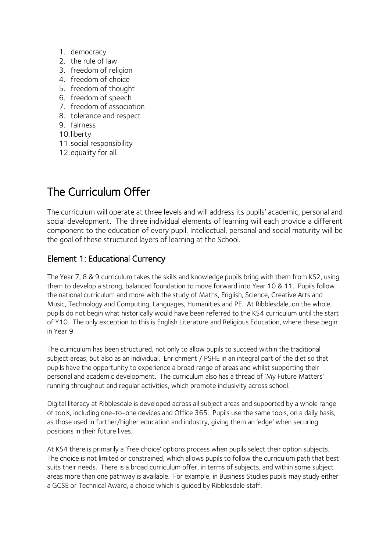- 1. democracy
- 2. the rule of law
- 3. freedom of religion
- 4. freedom of choice
- 5. freedom of thought
- 6. freedom of speech
- 7. freedom of association
- 8. tolerance and respect
- 9. fairness
- 10.liberty
- 11.social responsibility
- 12.equality for all.

# The Curriculum Offer

The curriculum will operate at three levels and will address its pupils' academic, personal and social development. The three individual elements of learning will each provide a different component to the education of every pupil. Intellectual, personal and social maturity will be the goal of these structured layers of learning at the School.

### Element 1: Educational Currency

The Year 7, 8 & 9 curriculum takes the skills and knowledge pupils bring with them from KS2, using them to develop a strong, balanced foundation to move forward into Year 10 & 11. Pupils follow the national curriculum and more with the study of Maths, English, Science, Creative Arts and Music, Technology and Computing, Languages, Humanities and PE. At Ribblesdale, on the whole, pupils do not begin what historically would have been referred to the KS4 curriculum until the start of Y10. The only exception to this is English Literature and Religious Education, where these begin in Year 9.

The curriculum has been structured, not only to allow pupils to succeed within the traditional subject areas, but also as an individual. Enrichment / PSHE in an integral part of the diet so that pupils have the opportunity to experience a broad range of areas and whilst supporting their personal and academic development. The curriculum also has a thread of 'My Future Matters' running throughout and regular activities, which promote inclusivity across school.

Digital literacy at Ribblesdale is developed across all subject areas and supported by a whole range of tools, including one-to-one devices and Office 365. Pupils use the same tools, on a daily basis, as those used in further/higher education and industry, giving them an 'edge' when securing positions in their future lives.

At KS4 there is primarily a 'free choice' options process when pupils select their option subjects. The choice is not limited or constrained, which allows pupils to follow the curriculum path that best suits their needs. There is a broad curriculum offer, in terms of subjects, and within some subject areas more than one pathway is available. For example, in Business Studies pupils may study either a GCSE or Technical Award, a choice which is guided by Ribblesdale staff.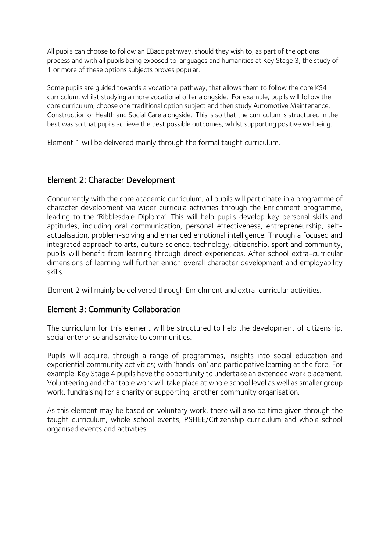All pupils can choose to follow an EBacc pathway, should they wish to, as part of the options process and with all pupils being exposed to languages and humanities at Key Stage 3, the study of 1 or more of these options subjects proves popular.

Some pupils are guided towards a vocational pathway, that allows them to follow the core KS4 curriculum, whilst studying a more vocational offer alongside. For example, pupils will follow the core curriculum, choose one traditional option subject and then study Automotive Maintenance, Construction or Health and Social Care alongside. This is so that the curriculum is structured in the best was so that pupils achieve the best possible outcomes, whilst supporting positive wellbeing.

Element 1 will be delivered mainly through the formal taught curriculum.

### Element 2: Character Development

Concurrently with the core academic curriculum, all pupils will participate in a programme of character development via wider curricula activities through the Enrichment programme, leading to the 'Ribblesdale Diploma'. This will help pupils develop key personal skills and aptitudes, including oral communication, personal effectiveness, entrepreneurship, selfactualisation, problem-solving and enhanced emotional intelligence. Through a focused and integrated approach to arts, culture science, technology, citizenship, sport and community, pupils will benefit from learning through direct experiences. After school extra-curricular dimensions of learning will further enrich overall character development and employability skills.

Element 2 will mainly be delivered through Enrichment and extra-curricular activities.

### Element 3: Community Collaboration

The curriculum for this element will be structured to help the development of citizenship, social enterprise and service to communities.

Pupils will acquire, through a range of programmes, insights into social education and experiential community activities; with 'hands-on' and participative learning at the fore. For example, Key Stage 4 pupils have the opportunity to undertake an extended work placement. Volunteering and charitable work will take place at whole school level as well as smaller group work, fundraising for a charity or supporting another community organisation.

As this element may be based on voluntary work, there will also be time given through the taught curriculum, whole school events, PSHEE/Citizenship curriculum and whole school organised events and activities.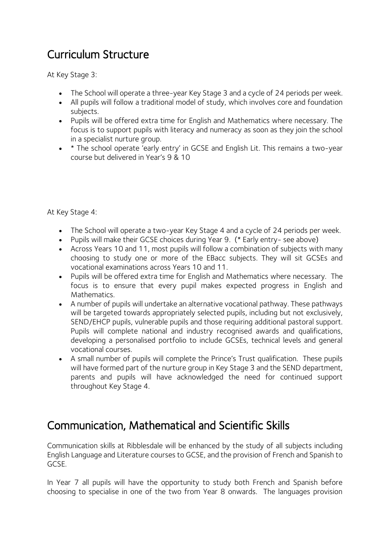# Curriculum Structure

At Key Stage 3:

- The School will operate a three-year Key Stage 3 and a cycle of 24 periods per week.
- All pupils will follow a traditional model of study, which involves core and foundation subjects.
- Pupils will be offered extra time for English and Mathematics where necessary. The focus is to support pupils with literacy and numeracy as soon as they join the school in a specialist nurture group.
- \* The school operate 'early entry' in GCSE and English Lit. This remains a two-year course but delivered in Year's 9 & 10

At Key Stage 4:

- The School will operate a two-year Key Stage 4 and a cycle of 24 periods per week.
- Pupils will make their GCSE choices during Year 9. (\* Early entry- see above)
- Across Years 10 and 11, most pupils will follow a combination of subjects with many choosing to study one or more of the EBacc subjects. They will sit GCSEs and vocational examinations across Years 10 and 11.
- Pupils will be offered extra time for English and Mathematics where necessary. The focus is to ensure that every pupil makes expected progress in English and Mathematics.
- A number of pupils will undertake an alternative vocational pathway. These pathways will be targeted towards appropriately selected pupils, including but not exclusively, SEND/EHCP pupils, vulnerable pupils and those requiring additional pastoral support. Pupils will complete national and industry recognised awards and qualifications, developing a personalised portfolio to include GCSEs, technical levels and general vocational courses.
- A small number of pupils will complete the Prince's Trust qualification. These pupils will have formed part of the nurture group in Key Stage 3 and the SEND department, parents and pupils will have acknowledged the need for continued support throughout Key Stage 4.

## Communication, Mathematical and Scientific Skills

Communication skills at Ribblesdale will be enhanced by the study of all subjects including English Language and Literature courses to GCSE, and the provision of French and Spanish to GCSE.

In Year 7 all pupils will have the opportunity to study both French and Spanish before choosing to specialise in one of the two from Year 8 onwards. The languages provision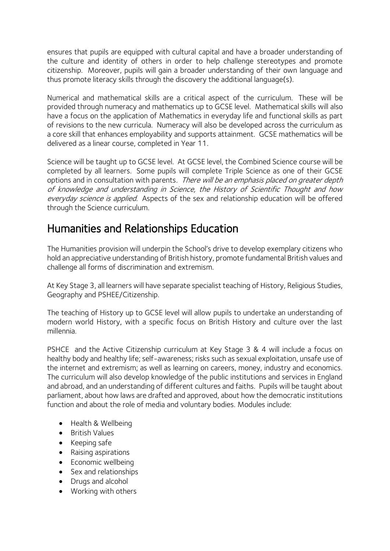ensures that pupils are equipped with cultural capital and have a broader understanding of the culture and identity of others in order to help challenge stereotypes and promote citizenship. Moreover, pupils will gain a broader understanding of their own language and thus promote literacy skills through the discovery the additional language(s).

Numerical and mathematical skills are a critical aspect of the curriculum. These will be provided through numeracy and mathematics up to GCSE level. Mathematical skills will also have a focus on the application of Mathematics in everyday life and functional skills as part of revisions to the new curricula. Numeracy will also be developed across the curriculum as a core skill that enhances employability and supports attainment. GCSE mathematics will be delivered as a linear course, completed in Year 11.

Science will be taught up to GCSE level. At GCSE level, the Combined Science course will be completed by all learners. Some pupils will complete Triple Science as one of their GCSE options and in consultation with parents. There will be an emphasis placed on greater depth of knowledge and understanding in Science, the History of Scientific Thought and how everyday science is applied. Aspects of the sex and relationship education will be offered through the Science curriculum.

## Humanities and Relationships Education

The Humanities provision will underpin the School's drive to develop exemplary citizens who hold an appreciative understanding of British history, promote fundamental British values and challenge all forms of discrimination and extremism.

At Key Stage 3, all learners will have separate specialist teaching of History, Religious Studies, Geography and PSHEE/Citizenship.

The teaching of History up to GCSE level will allow pupils to undertake an understanding of modern world History, with a specific focus on British History and culture over the last millennia.

PSHCE and the Active Citizenship curriculum at Key Stage 3 & 4 will include a focus on healthy body and healthy life; self-awareness; risks such as sexual exploitation, unsafe use of the internet and extremism; as well as learning on careers, money, industry and economics. The curriculum will also develop knowledge of the public institutions and services in England and abroad, and an understanding of different cultures and faiths. Pupils will be taught about parliament, about how laws are drafted and approved, about how the democratic institutions function and about the role of media and voluntary bodies. Modules include:

- Health & Wellbeing
- British Values
- Keeping safe
- Raising aspirations
- Economic wellbeing
- Sex and relationships
- Drugs and alcohol
- Working with others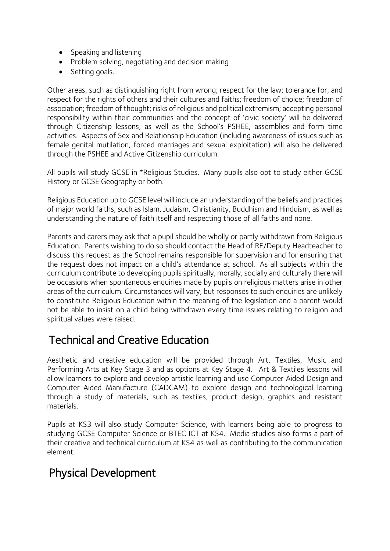- Speaking and listening
- Problem solving, negotiating and decision making
- Setting goals.

Other areas, such as distinguishing right from wrong; respect for the law; tolerance for, and respect for the rights of others and their cultures and faiths; freedom of choice; freedom of association; freedom of thought; risks of religious and political extremism; accepting personal responsibility within their communities and the concept of 'civic society' will be delivered through Citizenship lessons, as well as the School's PSHEE, assemblies and form time activities. Aspects of Sex and Relationship Education (including awareness of issues such as female genital mutilation, forced marriages and sexual exploitation) will also be delivered through the PSHEE and Active Citizenship curriculum.

All pupils will study GCSE in \*Religious Studies. Many pupils also opt to study either GCSE History or GCSE Geography or both.

Religious Education up to GCSE level will include an understanding of the beliefs and practices of major world faiths, such as Islam, Judaism, Christianity, Buddhism and Hinduism, as well as understanding the nature of faith itself and respecting those of all faiths and none.

Parents and carers may ask that a pupil should be wholly or partly withdrawn from Religious Education. Parents wishing to do so should contact the Head of RE/Deputy Headteacher to discuss this request as the School remains responsible for supervision and for ensuring that the request does not impact on a child's attendance at school. As all subjects within the curriculum contribute to developing pupils spiritually, morally, socially and culturally there will be occasions when spontaneous enquiries made by pupils on religious matters arise in other areas of the curriculum. Circumstances will vary, but responses to such enquiries are unlikely to constitute Religious Education within the meaning of the legislation and a parent would not be able to insist on a child being withdrawn every time issues relating to religion and spiritual values were raised.

## Technical and Creative Education

Aesthetic and creative education will be provided through Art, Textiles, Music and Performing Arts at Key Stage 3 and as options at Key Stage 4. Art & Textiles lessons will allow learners to explore and develop artistic learning and use Computer Aided Design and Computer Aided Manufacture (CADCAM) to explore design and technological learning through a study of materials, such as textiles, product design, graphics and resistant materials.

Pupils at KS3 will also study Computer Science, with learners being able to progress to studying GCSE Computer Science or BTEC ICT at KS4. Media studies also forms a part of their creative and technical curriculum at KS4 as well as contributing to the communication element.

## Physical Development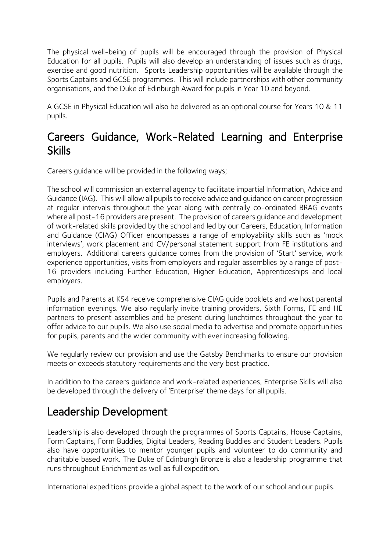The physical well-being of pupils will be encouraged through the provision of Physical Education for all pupils. Pupils will also develop an understanding of issues such as drugs, exercise and good nutrition. Sports Leadership opportunities will be available through the Sports Captains and GCSE programmes. This will include partnerships with other community organisations, and the Duke of Edinburgh Award for pupils in Year 10 and beyond.

A GCSE in Physical Education will also be delivered as an optional course for Years 10 & 11 pupils.

## Careers Guidance, Work-Related Learning and Enterprise Skills

Careers guidance will be provided in the following ways;

The school will commission an external agency to facilitate impartial Information, Advice and Guidance (IAG). This will allow all pupils to receive advice and guidance on career progression at regular intervals throughout the year along with centrally co-ordinated BRAG events where all post-16 providers are present. The provision of careers guidance and development of work-related skills provided by the school and led by our Careers, Education, Information and Guidance (CIAG) Officer encompasses a range of employability skills such as 'mock interviews', work placement and CV/personal statement support from FE institutions and employers. Additional careers guidance comes from the provision of 'Start' service, work experience opportunities, visits from employers and regular assemblies by a range of post-16 providers including Further Education, Higher Education, Apprenticeships and local employers.

Pupils and Parents at KS4 receive comprehensive CIAG guide booklets and we host parental information evenings. We also regularly invite training providers, Sixth Forms, FE and HE partners to present assemblies and be present during lunchtimes throughout the year to offer advice to our pupils. We also use social media to advertise and promote opportunities for pupils, parents and the wider community with ever increasing following.

We regularly review our provision and use the Gatsby Benchmarks to ensure our provision meets or exceeds statutory requirements and the very best practice.

In addition to the careers guidance and work-related experiences, Enterprise Skills will also be developed through the delivery of 'Enterprise' theme days for all pupils.

## Leadership Development

Leadership is also developed through the programmes of Sports Captains, House Captains, Form Captains, Form Buddies, Digital Leaders, Reading Buddies and Student Leaders. Pupils also have opportunities to mentor younger pupils and volunteer to do community and charitable based work. The Duke of Edinburgh Bronze is also a leadership programme that runs throughout Enrichment as well as full expedition.

International expeditions provide a global aspect to the work of our school and our pupils.